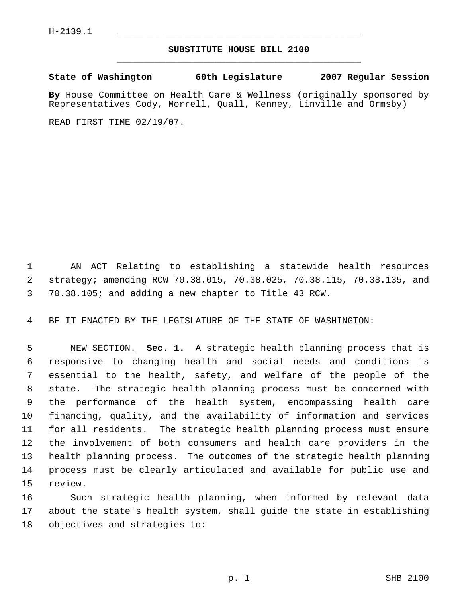## **SUBSTITUTE HOUSE BILL 2100** \_\_\_\_\_\_\_\_\_\_\_\_\_\_\_\_\_\_\_\_\_\_\_\_\_\_\_\_\_\_\_\_\_\_\_\_\_\_\_\_\_\_\_\_\_

**State of Washington 60th Legislature 2007 Regular Session**

**By** House Committee on Health Care & Wellness (originally sponsored by Representatives Cody, Morrell, Quall, Kenney, Linville and Ormsby)

READ FIRST TIME 02/19/07.

 AN ACT Relating to establishing a statewide health resources strategy; amending RCW 70.38.015, 70.38.025, 70.38.115, 70.38.135, and 70.38.105; and adding a new chapter to Title 43 RCW.

BE IT ENACTED BY THE LEGISLATURE OF THE STATE OF WASHINGTON:

 NEW SECTION. **Sec. 1.** A strategic health planning process that is responsive to changing health and social needs and conditions is essential to the health, safety, and welfare of the people of the state. The strategic health planning process must be concerned with the performance of the health system, encompassing health care financing, quality, and the availability of information and services for all residents. The strategic health planning process must ensure the involvement of both consumers and health care providers in the health planning process. The outcomes of the strategic health planning process must be clearly articulated and available for public use and review.

 Such strategic health planning, when informed by relevant data about the state's health system, shall guide the state in establishing objectives and strategies to: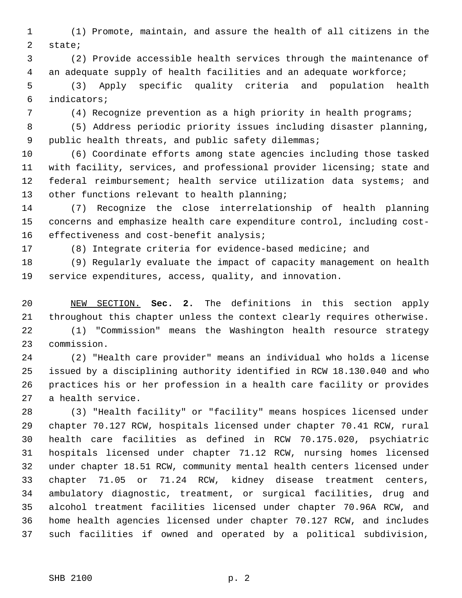(1) Promote, maintain, and assure the health of all citizens in the state;

 (2) Provide accessible health services through the maintenance of an adequate supply of health facilities and an adequate workforce;

 (3) Apply specific quality criteria and population health indicators;

(4) Recognize prevention as a high priority in health programs;

 (5) Address periodic priority issues including disaster planning, public health threats, and public safety dilemmas;

 (6) Coordinate efforts among state agencies including those tasked with facility, services, and professional provider licensing; state and federal reimbursement; health service utilization data systems; and other functions relevant to health planning;

 (7) Recognize the close interrelationship of health planning concerns and emphasize health care expenditure control, including cost-16 effectiveness and cost-benefit analysis;

(8) Integrate criteria for evidence-based medicine; and

 (9) Regularly evaluate the impact of capacity management on health service expenditures, access, quality, and innovation.

 NEW SECTION. **Sec. 2.** The definitions in this section apply throughout this chapter unless the context clearly requires otherwise.

 (1) "Commission" means the Washington health resource strategy commission.

 (2) "Health care provider" means an individual who holds a license issued by a disciplining authority identified in RCW 18.130.040 and who practices his or her profession in a health care facility or provides a health service.

 (3) "Health facility" or "facility" means hospices licensed under chapter 70.127 RCW, hospitals licensed under chapter 70.41 RCW, rural health care facilities as defined in RCW 70.175.020, psychiatric hospitals licensed under chapter 71.12 RCW, nursing homes licensed under chapter 18.51 RCW, community mental health centers licensed under chapter 71.05 or 71.24 RCW, kidney disease treatment centers, ambulatory diagnostic, treatment, or surgical facilities, drug and alcohol treatment facilities licensed under chapter 70.96A RCW, and home health agencies licensed under chapter 70.127 RCW, and includes such facilities if owned and operated by a political subdivision,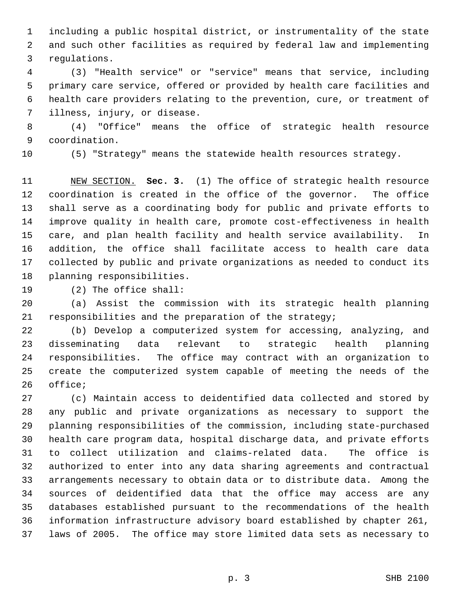including a public hospital district, or instrumentality of the state and such other facilities as required by federal law and implementing regulations.

 (3) "Health service" or "service" means that service, including primary care service, offered or provided by health care facilities and health care providers relating to the prevention, cure, or treatment of illness, injury, or disease.

 (4) "Office" means the office of strategic health resource coordination.

(5) "Strategy" means the statewide health resources strategy.

 NEW SECTION. **Sec. 3.** (1) The office of strategic health resource coordination is created in the office of the governor. The office shall serve as a coordinating body for public and private efforts to improve quality in health care, promote cost-effectiveness in health care, and plan health facility and health service availability. In addition, the office shall facilitate access to health care data collected by public and private organizations as needed to conduct its planning responsibilities.

(2) The office shall:

 (a) Assist the commission with its strategic health planning responsibilities and the preparation of the strategy;

 (b) Develop a computerized system for accessing, analyzing, and disseminating data relevant to strategic health planning responsibilities. The office may contract with an organization to create the computerized system capable of meeting the needs of the office;

 (c) Maintain access to deidentified data collected and stored by any public and private organizations as necessary to support the planning responsibilities of the commission, including state-purchased health care program data, hospital discharge data, and private efforts to collect utilization and claims-related data. The office is authorized to enter into any data sharing agreements and contractual arrangements necessary to obtain data or to distribute data. Among the sources of deidentified data that the office may access are any databases established pursuant to the recommendations of the health information infrastructure advisory board established by chapter 261, laws of 2005. The office may store limited data sets as necessary to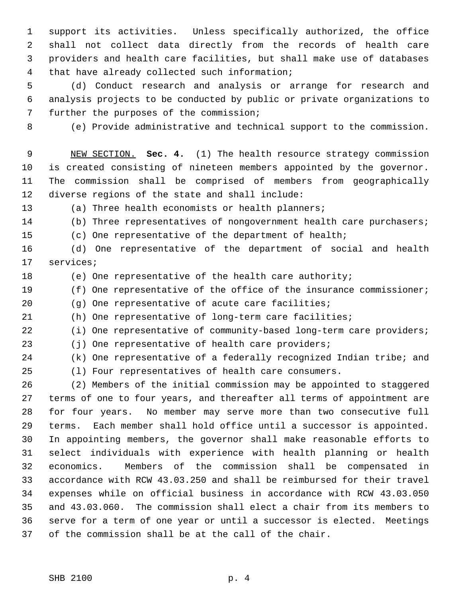support its activities. Unless specifically authorized, the office shall not collect data directly from the records of health care providers and health care facilities, but shall make use of databases that have already collected such information;

 (d) Conduct research and analysis or arrange for research and analysis projects to be conducted by public or private organizations to further the purposes of the commission;

(e) Provide administrative and technical support to the commission.

 NEW SECTION. **Sec. 4.** (1) The health resource strategy commission is created consisting of nineteen members appointed by the governor. The commission shall be comprised of members from geographically diverse regions of the state and shall include:

(a) Three health economists or health planners;

- (b) Three representatives of nongovernment health care purchasers;
- (c) One representative of the department of health;

 (d) One representative of the department of social and health services;

(e) One representative of the health care authority;

(f) One representative of the office of the insurance commissioner;

(g) One representative of acute care facilities;

(h) One representative of long-term care facilities;

(i) One representative of community-based long-term care providers;

(j) One representative of health care providers;

(k) One representative of a federally recognized Indian tribe; and

(l) Four representatives of health care consumers.

 (2) Members of the initial commission may be appointed to staggered terms of one to four years, and thereafter all terms of appointment are for four years. No member may serve more than two consecutive full terms. Each member shall hold office until a successor is appointed. In appointing members, the governor shall make reasonable efforts to select individuals with experience with health planning or health economics. Members of the commission shall be compensated in accordance with RCW 43.03.250 and shall be reimbursed for their travel expenses while on official business in accordance with RCW 43.03.050 and 43.03.060. The commission shall elect a chair from its members to serve for a term of one year or until a successor is elected. Meetings of the commission shall be at the call of the chair.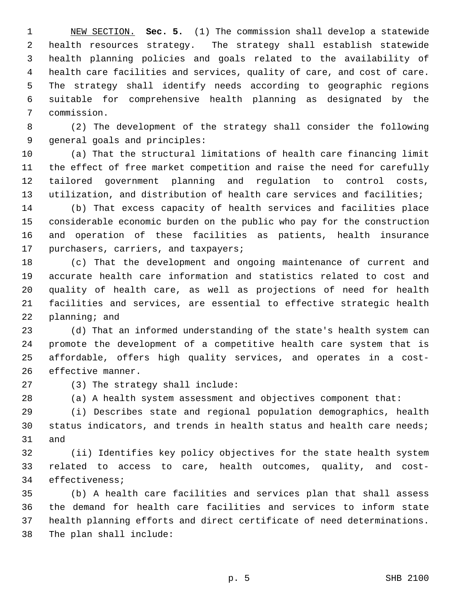NEW SECTION. **Sec. 5.** (1) The commission shall develop a statewide health resources strategy. The strategy shall establish statewide health planning policies and goals related to the availability of health care facilities and services, quality of care, and cost of care. The strategy shall identify needs according to geographic regions suitable for comprehensive health planning as designated by the commission.

 (2) The development of the strategy shall consider the following general goals and principles:

 (a) That the structural limitations of health care financing limit the effect of free market competition and raise the need for carefully tailored government planning and regulation to control costs, utilization, and distribution of health care services and facilities;

 (b) That excess capacity of health services and facilities place considerable economic burden on the public who pay for the construction and operation of these facilities as patients, health insurance purchasers, carriers, and taxpayers;

 (c) That the development and ongoing maintenance of current and accurate health care information and statistics related to cost and quality of health care, as well as projections of need for health facilities and services, are essential to effective strategic health planning; and

 (d) That an informed understanding of the state's health system can promote the development of a competitive health care system that is affordable, offers high quality services, and operates in a cost-effective manner.

(3) The strategy shall include:

(a) A health system assessment and objectives component that:

 (i) Describes state and regional population demographics, health status indicators, and trends in health status and health care needs; and

 (ii) Identifies key policy objectives for the state health system related to access to care, health outcomes, quality, and cost-effectiveness;

 (b) A health care facilities and services plan that shall assess the demand for health care facilities and services to inform state health planning efforts and direct certificate of need determinations. The plan shall include: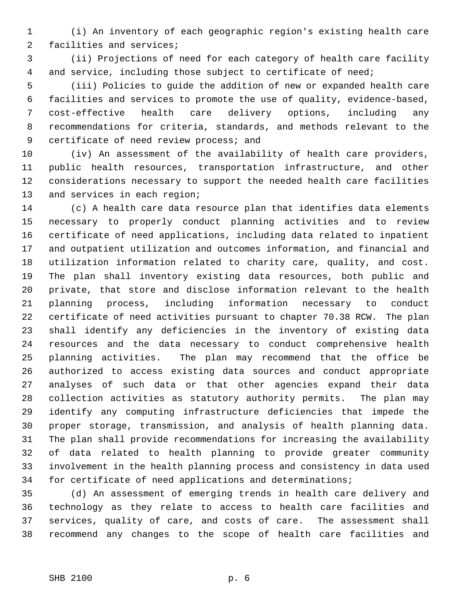(i) An inventory of each geographic region's existing health care facilities and services;

 (ii) Projections of need for each category of health care facility and service, including those subject to certificate of need;

 (iii) Policies to guide the addition of new or expanded health care facilities and services to promote the use of quality, evidence-based, cost-effective health care delivery options, including any recommendations for criteria, standards, and methods relevant to the 9 certificate of need review process; and

 (iv) An assessment of the availability of health care providers, public health resources, transportation infrastructure, and other considerations necessary to support the needed health care facilities 13 and services in each region;

 (c) A health care data resource plan that identifies data elements necessary to properly conduct planning activities and to review certificate of need applications, including data related to inpatient and outpatient utilization and outcomes information, and financial and utilization information related to charity care, quality, and cost. The plan shall inventory existing data resources, both public and private, that store and disclose information relevant to the health planning process, including information necessary to conduct certificate of need activities pursuant to chapter 70.38 RCW. The plan shall identify any deficiencies in the inventory of existing data resources and the data necessary to conduct comprehensive health planning activities. The plan may recommend that the office be authorized to access existing data sources and conduct appropriate analyses of such data or that other agencies expand their data collection activities as statutory authority permits. The plan may identify any computing infrastructure deficiencies that impede the proper storage, transmission, and analysis of health planning data. The plan shall provide recommendations for increasing the availability of data related to health planning to provide greater community involvement in the health planning process and consistency in data used for certificate of need applications and determinations;

 (d) An assessment of emerging trends in health care delivery and technology as they relate to access to health care facilities and services, quality of care, and costs of care. The assessment shall recommend any changes to the scope of health care facilities and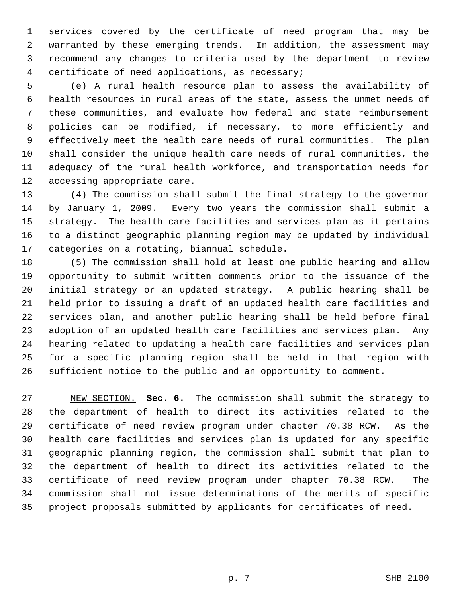services covered by the certificate of need program that may be warranted by these emerging trends. In addition, the assessment may recommend any changes to criteria used by the department to review certificate of need applications, as necessary;

 (e) A rural health resource plan to assess the availability of health resources in rural areas of the state, assess the unmet needs of these communities, and evaluate how federal and state reimbursement policies can be modified, if necessary, to more efficiently and effectively meet the health care needs of rural communities. The plan shall consider the unique health care needs of rural communities, the adequacy of the rural health workforce, and transportation needs for accessing appropriate care.

 (4) The commission shall submit the final strategy to the governor by January 1, 2009. Every two years the commission shall submit a strategy. The health care facilities and services plan as it pertains to a distinct geographic planning region may be updated by individual categories on a rotating, biannual schedule.

 (5) The commission shall hold at least one public hearing and allow opportunity to submit written comments prior to the issuance of the initial strategy or an updated strategy. A public hearing shall be held prior to issuing a draft of an updated health care facilities and services plan, and another public hearing shall be held before final adoption of an updated health care facilities and services plan. Any hearing related to updating a health care facilities and services plan for a specific planning region shall be held in that region with sufficient notice to the public and an opportunity to comment.

 NEW SECTION. **Sec. 6.** The commission shall submit the strategy to the department of health to direct its activities related to the certificate of need review program under chapter 70.38 RCW. As the health care facilities and services plan is updated for any specific geographic planning region, the commission shall submit that plan to the department of health to direct its activities related to the certificate of need review program under chapter 70.38 RCW. The commission shall not issue determinations of the merits of specific project proposals submitted by applicants for certificates of need.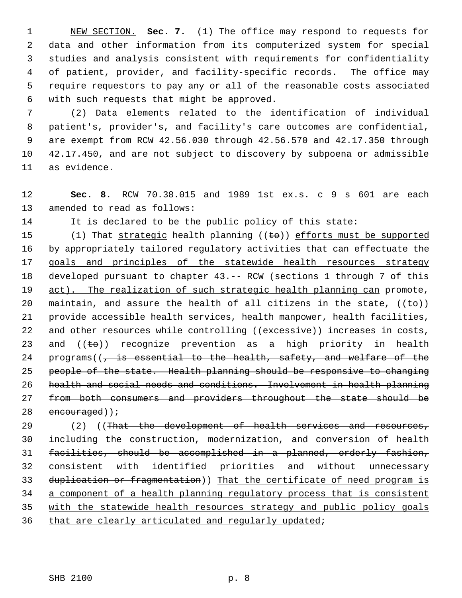NEW SECTION. **Sec. 7.** (1) The office may respond to requests for data and other information from its computerized system for special studies and analysis consistent with requirements for confidentiality of patient, provider, and facility-specific records. The office may require requestors to pay any or all of the reasonable costs associated with such requests that might be approved.

 (2) Data elements related to the identification of individual patient's, provider's, and facility's care outcomes are confidential, are exempt from RCW 42.56.030 through 42.56.570 and 42.17.350 through 42.17.450, and are not subject to discovery by subpoena or admissible as evidence.

 **Sec. 8.** RCW 70.38.015 and 1989 1st ex.s. c 9 s 601 are each amended to read as follows:

It is declared to be the public policy of this state:

15 (1) That strategic health planning  $((\text{te}))$  efforts must be supported 16 by appropriately tailored regulatory activities that can effectuate the 17 goals and principles of the statewide health resources strategy developed pursuant to chapter 43.-- RCW (sections 1 through 7 of this 19 act). The realization of such strategic health planning can promote, 20 maintain, and assure the health of all citizens in the state,  $((\pm \theta))$  provide accessible health services, health manpower, health facilities, 22 and other resources while controlling ((excessive)) increases in costs, 23 and  $((\pm \theta))$  recognize prevention as a high priority in health 24 programs( $\sqrt{7}$  is essential to the health, safety, and welfare of the people of the state. Health planning should be responsive to changing health and social needs and conditions. Involvement in health planning from both consumers and providers throughout the state should be 28 encouraged));

29 (2) ((That the development of health services and resources, including the construction, modernization, and conversion of health facilities, should be accomplished in a planned, orderly fashion, consistent with identified priorities and without unnecessary 33 duplication or fragmentation)) That the certificate of need program is a component of a health planning regulatory process that is consistent with the statewide health resources strategy and public policy goals 36 that are clearly articulated and regularly updated;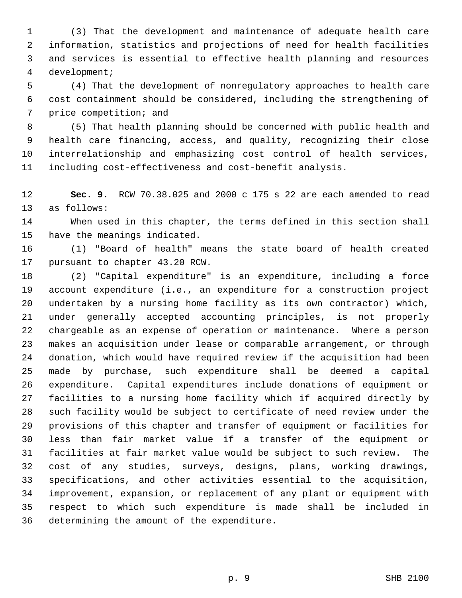(3) That the development and maintenance of adequate health care information, statistics and projections of need for health facilities and services is essential to effective health planning and resources development;

 (4) That the development of nonregulatory approaches to health care cost containment should be considered, including the strengthening of price competition; and

 (5) That health planning should be concerned with public health and health care financing, access, and quality, recognizing their close interrelationship and emphasizing cost control of health services, including cost-effectiveness and cost-benefit analysis.

 **Sec. 9.** RCW 70.38.025 and 2000 c 175 s 22 are each amended to read as follows:

 When used in this chapter, the terms defined in this section shall have the meanings indicated.

 (1) "Board of health" means the state board of health created pursuant to chapter 43.20 RCW.

 (2) "Capital expenditure" is an expenditure, including a force account expenditure (i.e., an expenditure for a construction project undertaken by a nursing home facility as its own contractor) which, under generally accepted accounting principles, is not properly chargeable as an expense of operation or maintenance. Where a person makes an acquisition under lease or comparable arrangement, or through donation, which would have required review if the acquisition had been made by purchase, such expenditure shall be deemed a capital expenditure. Capital expenditures include donations of equipment or facilities to a nursing home facility which if acquired directly by such facility would be subject to certificate of need review under the provisions of this chapter and transfer of equipment or facilities for less than fair market value if a transfer of the equipment or facilities at fair market value would be subject to such review. The cost of any studies, surveys, designs, plans, working drawings, specifications, and other activities essential to the acquisition, improvement, expansion, or replacement of any plant or equipment with respect to which such expenditure is made shall be included in determining the amount of the expenditure.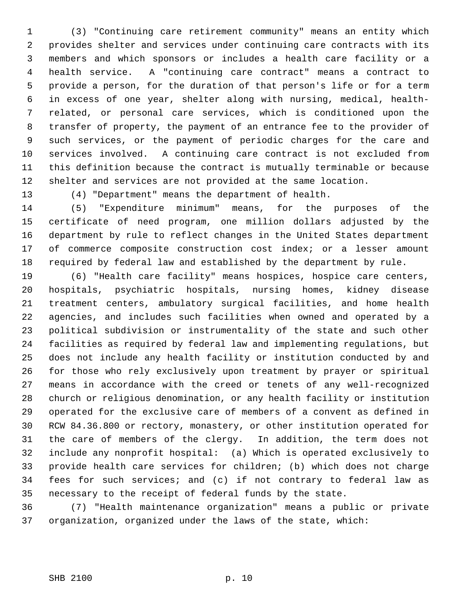(3) "Continuing care retirement community" means an entity which provides shelter and services under continuing care contracts with its members and which sponsors or includes a health care facility or a health service. A "continuing care contract" means a contract to provide a person, for the duration of that person's life or for a term in excess of one year, shelter along with nursing, medical, health- related, or personal care services, which is conditioned upon the transfer of property, the payment of an entrance fee to the provider of such services, or the payment of periodic charges for the care and services involved. A continuing care contract is not excluded from this definition because the contract is mutually terminable or because shelter and services are not provided at the same location.

(4) "Department" means the department of health.

 (5) "Expenditure minimum" means, for the purposes of the certificate of need program, one million dollars adjusted by the department by rule to reflect changes in the United States department of commerce composite construction cost index; or a lesser amount required by federal law and established by the department by rule.

 (6) "Health care facility" means hospices, hospice care centers, hospitals, psychiatric hospitals, nursing homes, kidney disease treatment centers, ambulatory surgical facilities, and home health agencies, and includes such facilities when owned and operated by a political subdivision or instrumentality of the state and such other facilities as required by federal law and implementing regulations, but does not include any health facility or institution conducted by and for those who rely exclusively upon treatment by prayer or spiritual means in accordance with the creed or tenets of any well-recognized church or religious denomination, or any health facility or institution operated for the exclusive care of members of a convent as defined in RCW 84.36.800 or rectory, monastery, or other institution operated for the care of members of the clergy. In addition, the term does not include any nonprofit hospital: (a) Which is operated exclusively to provide health care services for children; (b) which does not charge fees for such services; and (c) if not contrary to federal law as necessary to the receipt of federal funds by the state.

 (7) "Health maintenance organization" means a public or private organization, organized under the laws of the state, which: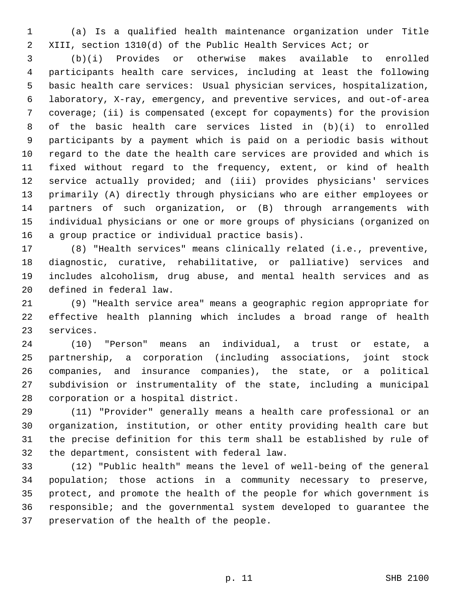(a) Is a qualified health maintenance organization under Title XIII, section 1310(d) of the Public Health Services Act; or

 (b)(i) Provides or otherwise makes available to enrolled participants health care services, including at least the following basic health care services: Usual physician services, hospitalization, laboratory, X-ray, emergency, and preventive services, and out-of-area coverage; (ii) is compensated (except for copayments) for the provision of the basic health care services listed in (b)(i) to enrolled participants by a payment which is paid on a periodic basis without regard to the date the health care services are provided and which is fixed without regard to the frequency, extent, or kind of health service actually provided; and (iii) provides physicians' services primarily (A) directly through physicians who are either employees or partners of such organization, or (B) through arrangements with individual physicians or one or more groups of physicians (organized on a group practice or individual practice basis).

 (8) "Health services" means clinically related (i.e., preventive, diagnostic, curative, rehabilitative, or palliative) services and includes alcoholism, drug abuse, and mental health services and as defined in federal law.

 (9) "Health service area" means a geographic region appropriate for effective health planning which includes a broad range of health services.

 (10) "Person" means an individual, a trust or estate, a partnership, a corporation (including associations, joint stock companies, and insurance companies), the state, or a political subdivision or instrumentality of the state, including a municipal corporation or a hospital district.

 (11) "Provider" generally means a health care professional or an organization, institution, or other entity providing health care but the precise definition for this term shall be established by rule of the department, consistent with federal law.

 (12) "Public health" means the level of well-being of the general population; those actions in a community necessary to preserve, protect, and promote the health of the people for which government is responsible; and the governmental system developed to guarantee the preservation of the health of the people.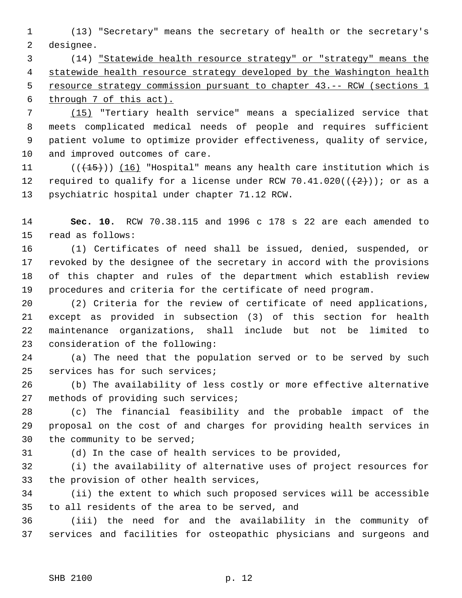(13) "Secretary" means the secretary of health or the secretary's designee.

 (14) "Statewide health resource strategy" or "strategy" means the 4 statewide health resource strategy developed by the Washington health 5 resource strategy commission pursuant to chapter 43. -- RCW (sections 1 through 7 of this act).

 (15) "Tertiary health service" means a specialized service that meets complicated medical needs of people and requires sufficient patient volume to optimize provider effectiveness, quality of service, and improved outcomes of care.

11 (( $\left(\frac{15}{15}\right)$ ) (16) "Hospital" means any health care institution which is 12 required to qualify for a license under RCW 70.41.020( $(\frac{2}{2})$ ); or as a psychiatric hospital under chapter 71.12 RCW.

 **Sec. 10.** RCW 70.38.115 and 1996 c 178 s 22 are each amended to read as follows:

 (1) Certificates of need shall be issued, denied, suspended, or revoked by the designee of the secretary in accord with the provisions of this chapter and rules of the department which establish review procedures and criteria for the certificate of need program.

 (2) Criteria for the review of certificate of need applications, except as provided in subsection (3) of this section for health maintenance organizations, shall include but not be limited to consideration of the following:

 (a) The need that the population served or to be served by such services has for such services;

 (b) The availability of less costly or more effective alternative methods of providing such services;

 (c) The financial feasibility and the probable impact of the proposal on the cost of and charges for providing health services in the community to be served;

(d) In the case of health services to be provided,

 (i) the availability of alternative uses of project resources for the provision of other health services,

 (ii) the extent to which such proposed services will be accessible to all residents of the area to be served, and

 (iii) the need for and the availability in the community of services and facilities for osteopathic physicians and surgeons and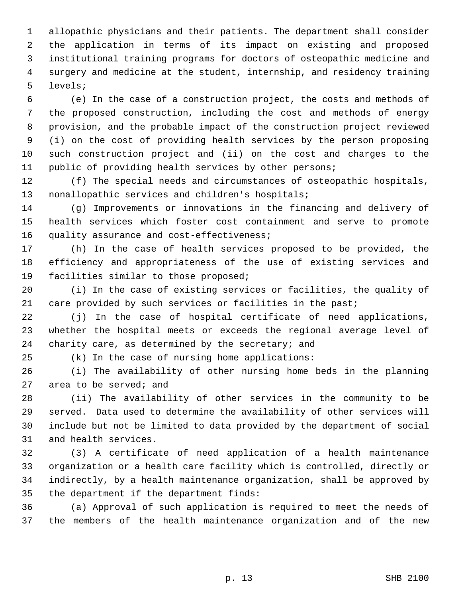allopathic physicians and their patients. The department shall consider the application in terms of its impact on existing and proposed institutional training programs for doctors of osteopathic medicine and surgery and medicine at the student, internship, and residency training levels;

 (e) In the case of a construction project, the costs and methods of the proposed construction, including the cost and methods of energy provision, and the probable impact of the construction project reviewed (i) on the cost of providing health services by the person proposing such construction project and (ii) on the cost and charges to the public of providing health services by other persons;

 (f) The special needs and circumstances of osteopathic hospitals, nonallopathic services and children's hospitals;

 (g) Improvements or innovations in the financing and delivery of health services which foster cost containment and serve to promote quality assurance and cost-effectiveness;

 (h) In the case of health services proposed to be provided, the efficiency and appropriateness of the use of existing services and facilities similar to those proposed;

 (i) In the case of existing services or facilities, the quality of 21 care provided by such services or facilities in the past;

 (j) In the case of hospital certificate of need applications, whether the hospital meets or exceeds the regional average level of 24 charity care, as determined by the secretary; and

(k) In the case of nursing home applications:

 (i) The availability of other nursing home beds in the planning area to be served; and

 (ii) The availability of other services in the community to be served. Data used to determine the availability of other services will include but not be limited to data provided by the department of social and health services.

 (3) A certificate of need application of a health maintenance organization or a health care facility which is controlled, directly or indirectly, by a health maintenance organization, shall be approved by the department if the department finds:

 (a) Approval of such application is required to meet the needs of the members of the health maintenance organization and of the new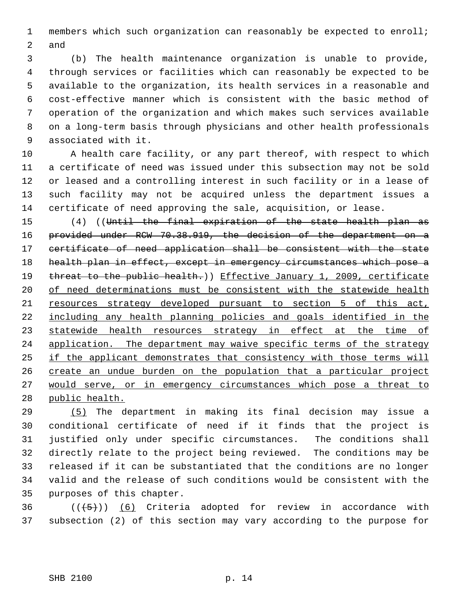members which such organization can reasonably be expected to enroll; and

 (b) The health maintenance organization is unable to provide, through services or facilities which can reasonably be expected to be available to the organization, its health services in a reasonable and cost-effective manner which is consistent with the basic method of operation of the organization and which makes such services available on a long-term basis through physicians and other health professionals associated with it.

 A health care facility, or any part thereof, with respect to which a certificate of need was issued under this subsection may not be sold or leased and a controlling interest in such facility or in a lease of such facility may not be acquired unless the department issues a certificate of need approving the sale, acquisition, or lease.

 (4) ((Until the final expiration of the state health plan as provided under RCW 70.38.919, the decision of the department on a certificate of need application shall be consistent with the state health plan in effect, except in emergency circumstances which pose a 19 threat to the public health.)) Effective January 1, 2009, certificate 20 of need determinations must be consistent with the statewide health resources strategy developed pursuant to section 5 of this act, including any health planning policies and goals identified in the 23 statewide health resources strategy in effect at the time of 24 application. The department may waive specific terms of the strategy if the applicant demonstrates that consistency with those terms will 26 create an undue burden on the population that a particular project would serve, or in emergency circumstances which pose a threat to public health.

 (5) The department in making its final decision may issue a conditional certificate of need if it finds that the project is justified only under specific circumstances. The conditions shall directly relate to the project being reviewed. The conditions may be released if it can be substantiated that the conditions are no longer valid and the release of such conditions would be consistent with the purposes of this chapter.

36  $((\langle 5 \rangle))$  (6) Criteria adopted for review in accordance with subsection (2) of this section may vary according to the purpose for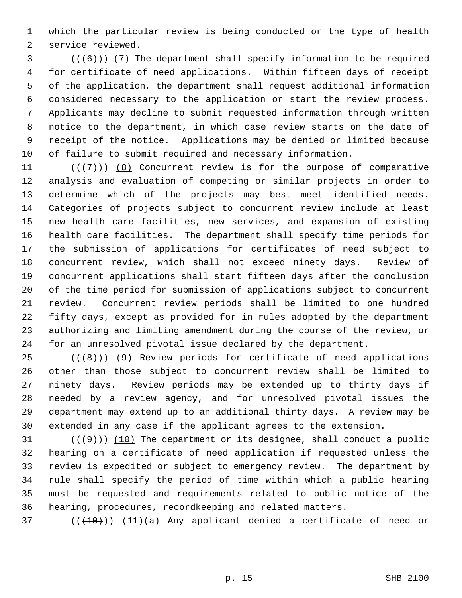which the particular review is being conducted or the type of health service reviewed.

 (( $(6)$ )) (7) The department shall specify information to be required for certificate of need applications. Within fifteen days of receipt of the application, the department shall request additional information considered necessary to the application or start the review process. Applicants may decline to submit requested information through written notice to the department, in which case review starts on the date of receipt of the notice. Applications may be denied or limited because of failure to submit required and necessary information.

 $((+7)^{n})$  (8) Concurrent review is for the purpose of comparative analysis and evaluation of competing or similar projects in order to determine which of the projects may best meet identified needs. Categories of projects subject to concurrent review include at least new health care facilities, new services, and expansion of existing health care facilities. The department shall specify time periods for the submission of applications for certificates of need subject to concurrent review, which shall not exceed ninety days. Review of concurrent applications shall start fifteen days after the conclusion of the time period for submission of applications subject to concurrent review. Concurrent review periods shall be limited to one hundred fifty days, except as provided for in rules adopted by the department authorizing and limiting amendment during the course of the review, or for an unresolved pivotal issue declared by the department.

 (( $(8)$ )) (9) Review periods for certificate of need applications other than those subject to concurrent review shall be limited to ninety days. Review periods may be extended up to thirty days if needed by a review agency, and for unresolved pivotal issues the department may extend up to an additional thirty days. A review may be extended in any case if the applicant agrees to the extension.

 $((+9))$  (10) The department or its designee, shall conduct a public hearing on a certificate of need application if requested unless the review is expedited or subject to emergency review. The department by rule shall specify the period of time within which a public hearing must be requested and requirements related to public notice of the hearing, procedures, recordkeeping and related matters.

(( $(10)$ )) (11)(a) Any applicant denied a certificate of need or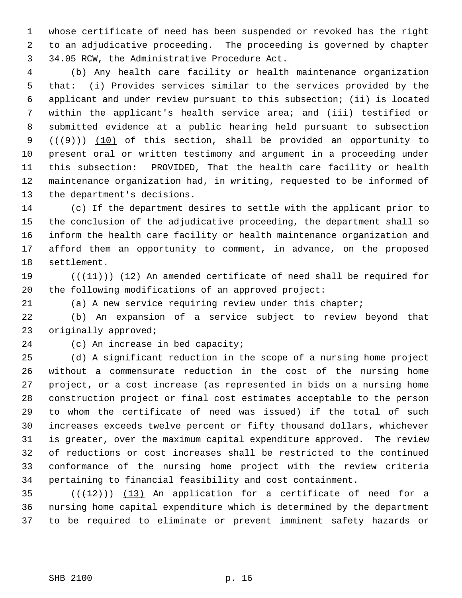whose certificate of need has been suspended or revoked has the right to an adjudicative proceeding. The proceeding is governed by chapter 34.05 RCW, the Administrative Procedure Act.

 (b) Any health care facility or health maintenance organization that: (i) Provides services similar to the services provided by the applicant and under review pursuant to this subsection; (ii) is located within the applicant's health service area; and (iii) testified or submitted evidence at a public hearing held pursuant to subsection  $((+9))$   $(10)$  of this section, shall be provided an opportunity to present oral or written testimony and argument in a proceeding under this subsection: PROVIDED, That the health care facility or health maintenance organization had, in writing, requested to be informed of the department's decisions.

 (c) If the department desires to settle with the applicant prior to the conclusion of the adjudicative proceeding, the department shall so inform the health care facility or health maintenance organization and afford them an opportunity to comment, in advance, on the proposed settlement.

19  $((+11))$   $(12)$  An amended certificate of need shall be required for the following modifications of an approved project:

(a) A new service requiring review under this chapter;

 (b) An expansion of a service subject to review beyond that originally approved;

(c) An increase in bed capacity;

 (d) A significant reduction in the scope of a nursing home project without a commensurate reduction in the cost of the nursing home project, or a cost increase (as represented in bids on a nursing home construction project or final cost estimates acceptable to the person to whom the certificate of need was issued) if the total of such increases exceeds twelve percent or fifty thousand dollars, whichever is greater, over the maximum capital expenditure approved. The review of reductions or cost increases shall be restricted to the continued conformance of the nursing home project with the review criteria pertaining to financial feasibility and cost containment.

35  $((+12))$   $(13)$  An application for a certificate of need for a nursing home capital expenditure which is determined by the department to be required to eliminate or prevent imminent safety hazards or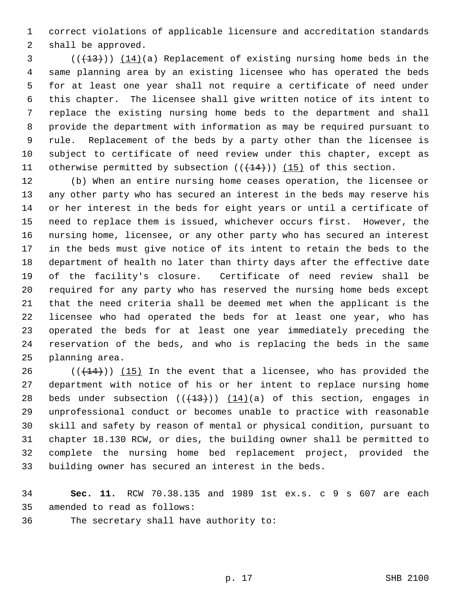correct violations of applicable licensure and accreditation standards shall be approved.

 $(1,13)$  (( $(1,13)$ )) ( $(1,4)$ )(a) Replacement of existing nursing home beds in the same planning area by an existing licensee who has operated the beds for at least one year shall not require a certificate of need under this chapter. The licensee shall give written notice of its intent to replace the existing nursing home beds to the department and shall provide the department with information as may be required pursuant to rule. Replacement of the beds by a party other than the licensee is subject to certificate of need review under this chapter, except as 11 otherwise permitted by subsection  $((+14))$   $(15)$  of this section.

 (b) When an entire nursing home ceases operation, the licensee or any other party who has secured an interest in the beds may reserve his or her interest in the beds for eight years or until a certificate of need to replace them is issued, whichever occurs first. However, the nursing home, licensee, or any other party who has secured an interest in the beds must give notice of its intent to retain the beds to the department of health no later than thirty days after the effective date of the facility's closure. Certificate of need review shall be required for any party who has reserved the nursing home beds except that the need criteria shall be deemed met when the applicant is the licensee who had operated the beds for at least one year, who has operated the beds for at least one year immediately preceding the reservation of the beds, and who is replacing the beds in the same planning area.

 $((+14))$   $(15)$  In the event that a licensee, who has provided the department with notice of his or her intent to replace nursing home 28 beds under subsection  $((+13))$   $(14)(a)$  of this section, engages in unprofessional conduct or becomes unable to practice with reasonable skill and safety by reason of mental or physical condition, pursuant to chapter 18.130 RCW, or dies, the building owner shall be permitted to complete the nursing home bed replacement project, provided the building owner has secured an interest in the beds.

 **Sec. 11.** RCW 70.38.135 and 1989 1st ex.s. c 9 s 607 are each amended to read as follows:

The secretary shall have authority to: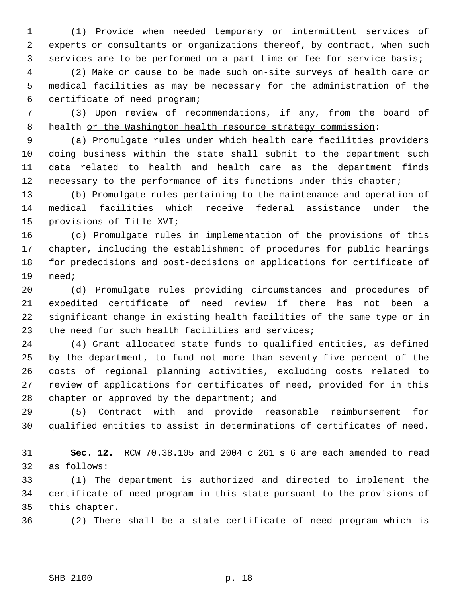(1) Provide when needed temporary or intermittent services of experts or consultants or organizations thereof, by contract, when such services are to be performed on a part time or fee-for-service basis;

 (2) Make or cause to be made such on-site surveys of health care or medical facilities as may be necessary for the administration of the certificate of need program;

 (3) Upon review of recommendations, if any, from the board of 8 health or the Washington health resource strategy commission:

 (a) Promulgate rules under which health care facilities providers doing business within the state shall submit to the department such data related to health and health care as the department finds necessary to the performance of its functions under this chapter;

 (b) Promulgate rules pertaining to the maintenance and operation of medical facilities which receive federal assistance under the provisions of Title XVI;

 (c) Promulgate rules in implementation of the provisions of this chapter, including the establishment of procedures for public hearings for predecisions and post-decisions on applications for certificate of need;

 (d) Promulgate rules providing circumstances and procedures of expedited certificate of need review if there has not been a significant change in existing health facilities of the same type or in the need for such health facilities and services;

 (4) Grant allocated state funds to qualified entities, as defined by the department, to fund not more than seventy-five percent of the costs of regional planning activities, excluding costs related to review of applications for certificates of need, provided for in this chapter or approved by the department; and

 (5) Contract with and provide reasonable reimbursement for qualified entities to assist in determinations of certificates of need.

 **Sec. 12.** RCW 70.38.105 and 2004 c 261 s 6 are each amended to read as follows:

 (1) The department is authorized and directed to implement the certificate of need program in this state pursuant to the provisions of this chapter.

(2) There shall be a state certificate of need program which is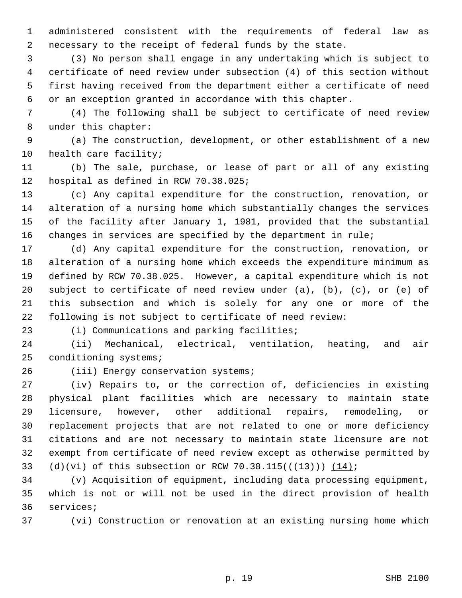administered consistent with the requirements of federal law as necessary to the receipt of federal funds by the state.

 (3) No person shall engage in any undertaking which is subject to certificate of need review under subsection (4) of this section without first having received from the department either a certificate of need or an exception granted in accordance with this chapter.

 (4) The following shall be subject to certificate of need review under this chapter:

 (a) The construction, development, or other establishment of a new health care facility;

 (b) The sale, purchase, or lease of part or all of any existing hospital as defined in RCW 70.38.025;

 (c) Any capital expenditure for the construction, renovation, or alteration of a nursing home which substantially changes the services of the facility after January 1, 1981, provided that the substantial changes in services are specified by the department in rule;

 (d) Any capital expenditure for the construction, renovation, or alteration of a nursing home which exceeds the expenditure minimum as defined by RCW 70.38.025. However, a capital expenditure which is not 20 subject to certificate of need review under  $(a)$ ,  $(b)$ ,  $(c)$ , or  $(e)$  of this subsection and which is solely for any one or more of the following is not subject to certificate of need review:

(i) Communications and parking facilities;

 (ii) Mechanical, electrical, ventilation, heating, and air conditioning systems;

(iii) Energy conservation systems;

 (iv) Repairs to, or the correction of, deficiencies in existing physical plant facilities which are necessary to maintain state licensure, however, other additional repairs, remodeling, or replacement projects that are not related to one or more deficiency citations and are not necessary to maintain state licensure are not exempt from certificate of need review except as otherwise permitted by 33 (d)(vi) of this subsection or RCW 70.38.115( $(\frac{13}{13})$ )  $(14)$ ;

 (v) Acquisition of equipment, including data processing equipment, which is not or will not be used in the direct provision of health services;

(vi) Construction or renovation at an existing nursing home which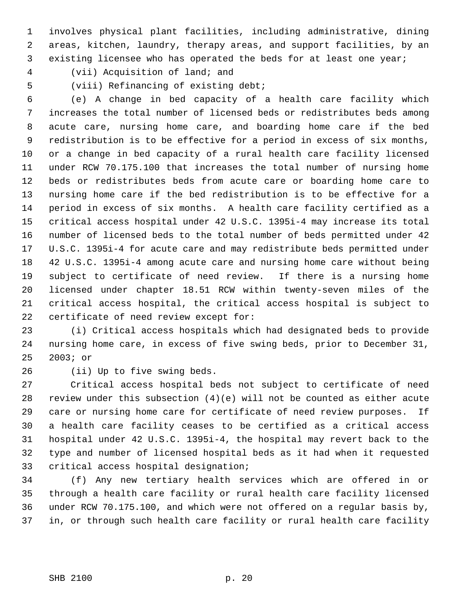involves physical plant facilities, including administrative, dining areas, kitchen, laundry, therapy areas, and support facilities, by an existing licensee who has operated the beds for at least one year;

(vii) Acquisition of land; and

(viii) Refinancing of existing debt;

 (e) A change in bed capacity of a health care facility which increases the total number of licensed beds or redistributes beds among acute care, nursing home care, and boarding home care if the bed redistribution is to be effective for a period in excess of six months, or a change in bed capacity of a rural health care facility licensed under RCW 70.175.100 that increases the total number of nursing home beds or redistributes beds from acute care or boarding home care to nursing home care if the bed redistribution is to be effective for a period in excess of six months. A health care facility certified as a critical access hospital under 42 U.S.C. 1395i-4 may increase its total number of licensed beds to the total number of beds permitted under 42 U.S.C. 1395i-4 for acute care and may redistribute beds permitted under 42 U.S.C. 1395i-4 among acute care and nursing home care without being subject to certificate of need review. If there is a nursing home licensed under chapter 18.51 RCW within twenty-seven miles of the critical access hospital, the critical access hospital is subject to certificate of need review except for:

 (i) Critical access hospitals which had designated beds to provide nursing home care, in excess of five swing beds, prior to December 31, 2003; or

(ii) Up to five swing beds.

 Critical access hospital beds not subject to certificate of need review under this subsection (4)(e) will not be counted as either acute care or nursing home care for certificate of need review purposes. If a health care facility ceases to be certified as a critical access hospital under 42 U.S.C. 1395i-4, the hospital may revert back to the type and number of licensed hospital beds as it had when it requested critical access hospital designation;

 (f) Any new tertiary health services which are offered in or through a health care facility or rural health care facility licensed under RCW 70.175.100, and which were not offered on a regular basis by, in, or through such health care facility or rural health care facility